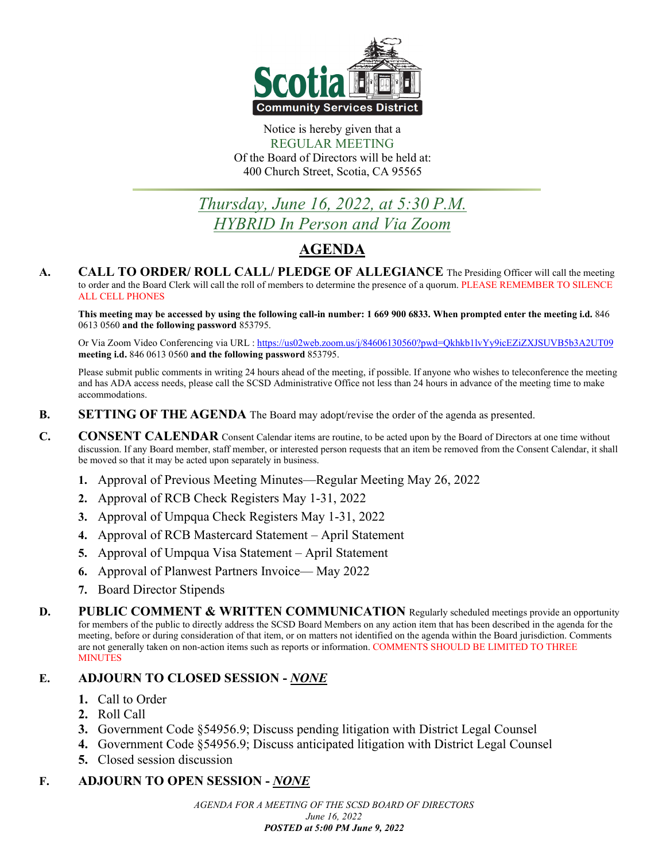

Notice is hereby given that a REGULAR MEETING Of the Board of Directors will be held at: 400 Church Street, Scotia, CA 95565

# *Thursday, June 16, 2022, at 5:30 P.M. HYBRID In Person and Via Zoom*

## **AGENDA**

**A. CALL TO ORDER/ ROLL CALL/ PLEDGE OF ALLEGIANCE** The Presiding Officer will call the meeting to order and the Board Clerk will call the roll of members to determine the presence of a quorum. PLEASE REMEMBER TO SILENCE ALL CELL PHONES

**This meeting may be accessed by using the following call-in number: 1 669 900 6833. When prompted enter the meeting i.d.** 846 0613 0560 **and the following password** 853795.

Or Via Zoom Video Conferencing via URL [: https://us02web.zoom.us/j/84606130560?pwd=Qkhkb1lvYy9icEZiZXJSUVB5b3A2UT09](https://us02web.zoom.us/j/84606130560?pwd=Qkhkb1lvYy9icEZiZXJSUVB5b3A2UT09) **meeting i.d.** 846 0613 0560 **and the following password** 853795.

Please submit public comments in writing 24 hours ahead of the meeting, if possible. If anyone who wishes to teleconference the meeting and has ADA access needs, please call the SCSD Administrative Office not less than 24 hours in advance of the meeting time to make accommodations.

- **B. SETTING OF THE AGENDA** The Board may adopt/revise the order of the agenda as presented.
- **C. CONSENT CALENDAR** Consent Calendar items are routine, to be acted upon by the Board of Directors at one time without discussion. If any Board member, staff member, or interested person requests that an item be removed from the Consent Calendar, it shall be moved so that it may be acted upon separately in business.
	- **1.** Approval of Previous Meeting Minutes—Regular Meeting May 26, 2022
	- **2.** Approval of RCB Check Registers May 1-31, 2022
	- **3.** Approval of Umpqua Check Registers May 1-31, 2022
	- **4.** Approval of RCB Mastercard Statement April Statement
	- **5.** Approval of Umpqua Visa Statement April Statement
	- **6.** Approval of Planwest Partners Invoice— May 2022
	- **7.** Board Director Stipends
- **D. PUBLIC COMMENT & WRITTEN COMMUNICATION** Regularly scheduled meetings provide an opportunity for members of the public to directly address the SCSD Board Members on any action item that has been described in the agenda for the meeting, before or during consideration of that item, or on matters not identified on the agenda within the Board jurisdiction. Comments are not generally taken on non-action items such as reports or information. COMMENTS SHOULD BE LIMITED TO THREE **MINUTES**

#### **E. ADJOURN TO CLOSED SESSION -** *NONE*

- **1.** Call to Order
- **2.** Roll Call
- **3.** Government Code §54956.9; Discuss pending litigation with District Legal Counsel
- **4.** Government Code §54956.9; Discuss anticipated litigation with District Legal Counsel
- **5.** Closed session discussion

#### **F. ADJOURN TO OPEN SESSION -** *NONE*

*AGENDA FOR A MEETING OF THE SCSD BOARD OF DIRECTORS June 16, 2022 POSTED at 5:00 PM June 9, 2022*